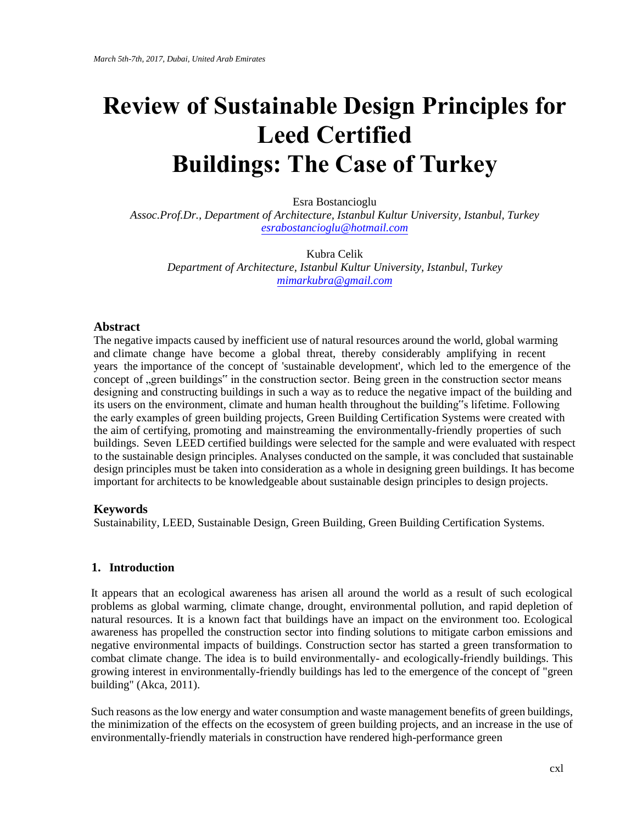# **Review of Sustainable Design Principles for Leed Certified Buildin[gs: The Case of](mailto:esrabostancioglu@hotmail.com) Turkey**

Esra Bostancioglu

*Assoc.Prof.Dr., Department of Architecture, Istanbul Kultur University, Istanbul, Turkey esr[abostancioglu@hotmail.co](mailto:mimarkubra@gmail.com)m*

Kubra Celik *Department of Architecture, Istanbul Kultur University, Istanbul, Turkey mimarkubra@gmail.com*

## **Abstract**

The negative impacts caused by inefficient use of natural resources around the world, global warming and climate change have become a global threat, thereby considerably amplifying in recent years the importance of the concept of 'sustainable development', which led to the emergence of the concept of "green buildings" in the construction sector. Being green in the construction sector means designing and constructing buildings in such a way as to reduce the negative impact of the building and its users on the environment, climate and human health throughout the building"s lifetime. Following the early examples of green building projects, Green Building Certification Systems were created with the aim of certifying, promoting and mainstreaming the environmentally-friendly properties of such buildings. Seven LEED certified buildings were selected for the sample and were evaluated with respect to the sustainable design principles. Analyses conducted on the sample, it was concluded that sustainable design principles must be taken into consideration as a whole in designing green buildings. It has become important for architects to be knowledgeable about sustainable design principles to design projects.

## **Keywords**

Sustainability, LEED, Sustainable Design, Green Building, Green Building Certification Systems.

### **1. Introduction**

It appears that an ecological awareness has arisen all around the world as a result of such ecological problems as global warming, climate change, drought, environmental pollution, and rapid depletion of natural resources. It is a known fact that buildings have an impact on the environment too. Ecological awareness has propelled the construction sector into finding solutions to mitigate carbon emissions and negative environmental impacts of buildings. Construction sector has started a green transformation to combat climate change. The idea is to build environmentally- and ecologically-friendly buildings. This growing interest in environmentally-friendly buildings has led to the emergence of the concept of "green building" (Akca, 2011).

Such reasons as the low energy and water consumption and waste management benefits of green buildings, the minimization of the effects on the ecosystem of green building projects, and an increase in the use of environmentally-friendly materials in construction have rendered high-performance green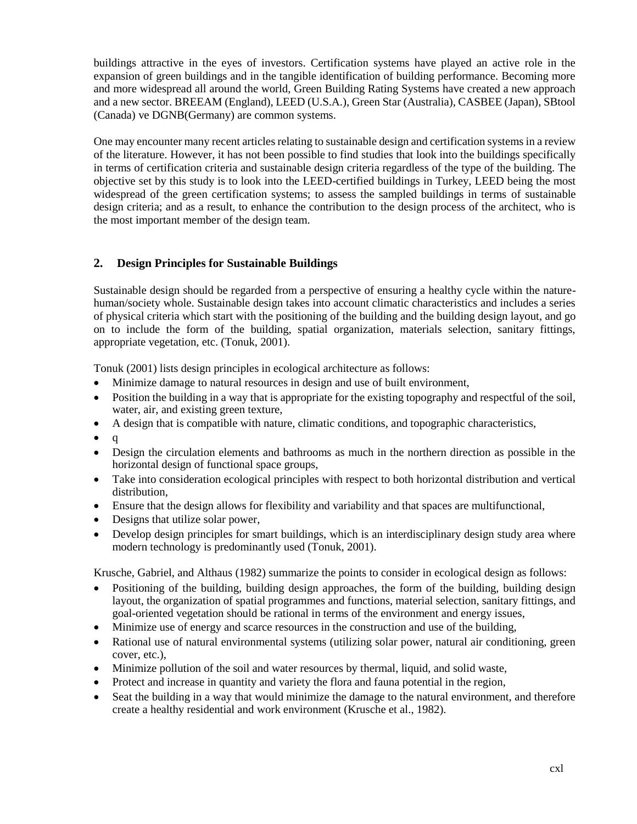buildings attractive in the eyes of investors. Certification systems have played an active role in the expansion of green buildings and in the tangible identification of building performance. Becoming more and more widespread all around the world, Green Building Rating Systems have created a new approach and a new sector. BREEAM (England), LEED (U.S.A.), Green Star (Australia), CASBEE (Japan), SBtool (Canada) ve DGNB(Germany) are common systems.

One may encounter many recent articles relating to sustainable design and certification systems in a review of the literature. However, it has not been possible to find studies that look into the buildings specifically in terms of certification criteria and sustainable design criteria regardless of the type of the building. The objective set by this study is to look into the LEED-certified buildings in Turkey, LEED being the most widespread of the green certification systems; to assess the sampled buildings in terms of sustainable design criteria; and as a result, to enhance the contribution to the design process of the architect, who is the most important member of the design team.

## **2. Design Principles for Sustainable Buildings**

Sustainable design should be regarded from a perspective of ensuring a healthy cycle within the naturehuman/society whole. Sustainable design takes into account climatic characteristics and includes a series of physical criteria which start with the positioning of the building and the building design layout, and go on to include the form of the building, spatial organization, materials selection, sanitary fittings, appropriate vegetation, etc. (Tonuk, 2001).

Tonuk (2001) lists design principles in ecological architecture as follows:

- Minimize damage to natural resources in design and use of built environment,
- Position the building in a way that is appropriate for the existing topography and respectful of the soil, water, air, and existing green texture,
- A design that is compatible with nature, climatic conditions, and topographic characteristics,
- $q$
- Design the circulation elements and bathrooms as much in the northern direction as possible in the horizontal design of functional space groups,
- Take into consideration ecological principles with respect to both horizontal distribution and vertical distribution,
- Ensure that the design allows for flexibility and variability and that spaces are multifunctional,
- Designs that utilize solar power,
- Develop design principles for smart buildings, which is an interdisciplinary design study area where modern technology is predominantly used (Tonuk, 2001).

Krusche, Gabriel, and Althaus (1982) summarize the points to consider in ecological design as follows:

- Positioning of the building, building design approaches, the form of the building, building design layout, the organization of spatial programmes and functions, material selection, sanitary fittings, and goal-oriented vegetation should be rational in terms of the environment and energy issues,
- Minimize use of energy and scarce resources in the construction and use of the building,
- Rational use of natural environmental systems (utilizing solar power, natural air conditioning, green cover, etc.),
- Minimize pollution of the soil and water resources by thermal, liquid, and solid waste,
- Protect and increase in quantity and variety the flora and fauna potential in the region,
- Seat the building in a way that would minimize the damage to the natural environment, and therefore create a healthy residential and work environment (Krusche et al., 1982).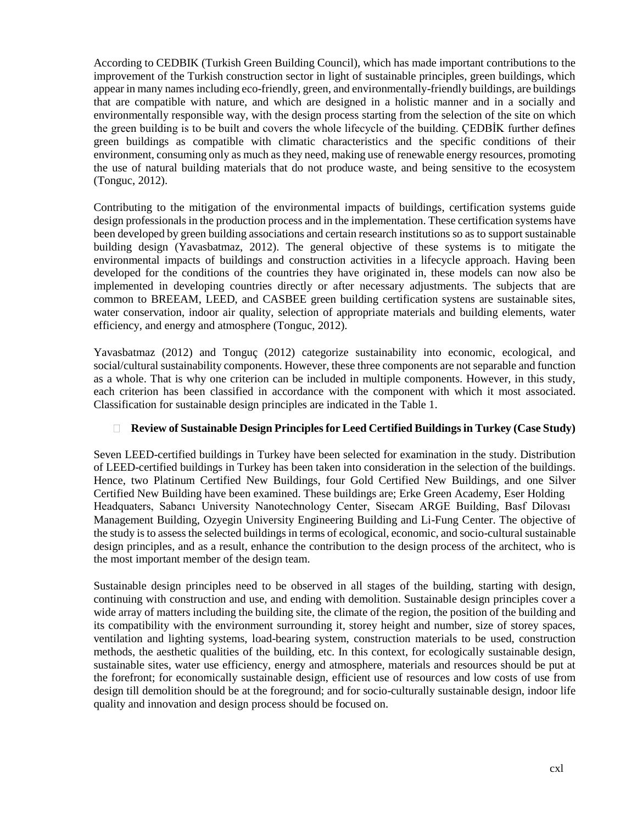According to CEDBIK (Turkish Green Building Council), which has made important contributions to the improvement of the Turkish construction sector in light of sustainable principles, green buildings, which appear in many names including eco-friendly, green, and environmentally-friendly buildings, are buildings that are compatible with nature, and which are designed in a holistic manner and in a socially and environmentally responsible way, with the design process starting from the selection of the site on which the green building is to be built and covers the whole lifecycle of the building. ÇEDBİK further defines green buildings as compatible with climatic characteristics and the specific conditions of their environment, consuming only as much as they need, making use of renewable energy resources, promoting the use of natural building materials that do not produce waste, and being sensitive to the ecosystem (Tonguc, 2012).

Contributing to the mitigation of the environmental impacts of buildings, certification systems guide design professionals in the production process and in the implementation. These certification systems have been developed by green building associations and certain research institutions so as to support sustainable building design (Yavasbatmaz, 2012). The general objective of these systems is to mitigate the environmental impacts of buildings and construction activities in a lifecycle approach. Having been developed for the conditions of the countries they have originated in, these models can now also be implemented in developing countries directly or after necessary adjustments. The subjects that are common to BREEAM, LEED, and CASBEE green building certification systens are sustainable sites, water conservation, indoor air quality, selection of appropriate materials and building elements, water efficiency, and energy and atmosphere (Tonguc, 2012).

Yavasbatmaz (2012) and Tonguç (2012) categorize sustainability into economic, ecological, and social/cultural sustainability components. However, these three components are not separable and function as a whole. That is why one criterion can be included in multiple components. However, in this study, each criterion has been classified in accordance with the component with which it most associated. Classification for sustainable design principles are indicated in the Table 1.

## **Review of Sustainable Design Principles for Leed Certified Buildings in Turkey (Case Study)**

Seven LEED-certified buildings in Turkey have been selected for examination in the study. Distribution of LEED-certified buildings in Turkey has been taken into consideration in the selection of the buildings. Hence, two Platinum Certified New Buildings, four Gold Certified New Buildings, and one Silver Certified New Building have been examined. These buildings are; Erke Green Academy, Eser Holding Headquaters, Sabancı University Nanotechnology Center, Sisecam ARGE Building, Basf Dilovası Management Building, Ozyegin University Engineering Building and Li-Fung Center. The objective of the study is to assess the selected buildings in terms of ecological, economic, and socio-cultural sustainable design principles, and as a result, enhance the contribution to the design process of the architect, who is the most important member of the design team.

Sustainable design principles need to be observed in all stages of the building, starting with design, continuing with construction and use, and ending with demolition. Sustainable design principles cover a wide array of matters including the building site, the climate of the region, the position of the building and its compatibility with the environment surrounding it, storey height and number, size of storey spaces, ventilation and lighting systems, load-bearing system, construction materials to be used, construction methods, the aesthetic qualities of the building, etc. In this context, for ecologically sustainable design, sustainable sites, water use efficiency, energy and atmosphere, materials and resources should be put at the forefront; for economically sustainable design, efficient use of resources and low costs of use from design till demolition should be at the foreground; and for socio-culturally sustainable design, indoor life quality and innovation and design process should be focused on.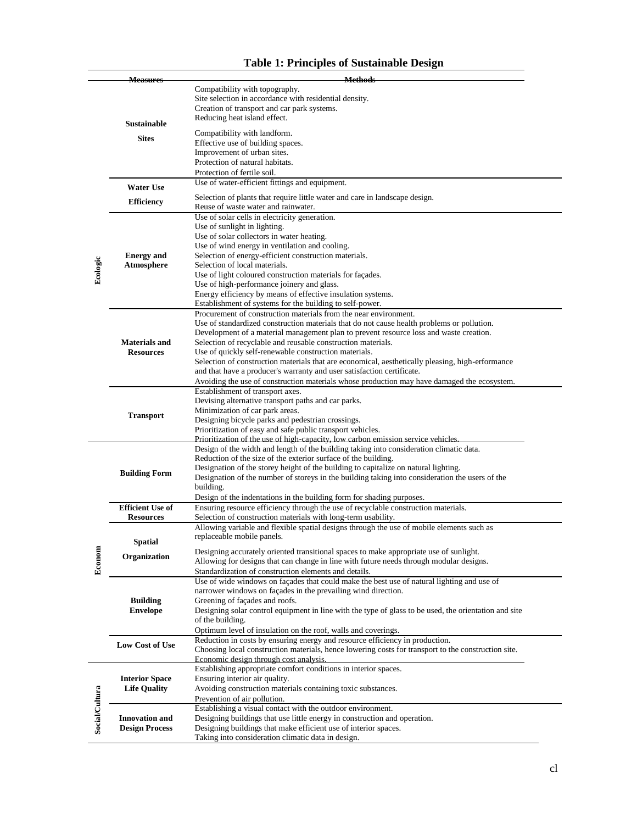|                       | <b>Measures</b>         | <b>Methods</b>                                                                                                                                |  |
|-----------------------|-------------------------|-----------------------------------------------------------------------------------------------------------------------------------------------|--|
|                       |                         | Compatibility with topography.                                                                                                                |  |
|                       |                         | Site selection in accordance with residential density.                                                                                        |  |
|                       |                         | Creation of transport and car park systems.                                                                                                   |  |
|                       | <b>Sustainable</b>      | Reducing heat island effect.                                                                                                                  |  |
|                       |                         | Compatibility with landform.                                                                                                                  |  |
|                       | <b>Sites</b>            | Effective use of building spaces.                                                                                                             |  |
|                       |                         | Improvement of urban sites.                                                                                                                   |  |
|                       |                         | Protection of natural habitats.                                                                                                               |  |
|                       |                         | Protection of fertile soil.                                                                                                                   |  |
|                       | <b>Water Use</b>        | Use of water-efficient fittings and equipment.                                                                                                |  |
|                       |                         | Selection of plants that require little water and care in landscape design.                                                                   |  |
|                       | <b>Efficiency</b>       | Reuse of waste water and rainwater.                                                                                                           |  |
|                       |                         | Use of solar cells in electricity generation.                                                                                                 |  |
|                       |                         | Use of sunlight in lighting.                                                                                                                  |  |
|                       |                         | Use of solar collectors in water heating.                                                                                                     |  |
|                       |                         | Use of wind energy in ventilation and cooling.                                                                                                |  |
|                       | <b>Energy</b> and       | Selection of energy-efficient construction materials.                                                                                         |  |
| Ecologic              | <b>Atmosphere</b>       | Selection of local materials.                                                                                                                 |  |
|                       |                         | Use of light coloured construction materials for façades.                                                                                     |  |
|                       |                         | Use of high-performance joinery and glass.<br>Energy efficiency by means of effective insulation systems.                                     |  |
|                       |                         | Establishment of systems for the building to self-power.                                                                                      |  |
|                       |                         | Procurement of construction materials from the near environment.                                                                              |  |
|                       |                         | Use of standardized construction materials that do not cause health problems or pollution.                                                    |  |
|                       |                         | Development of a material management plan to prevent resource loss and waste creation.                                                        |  |
|                       | <b>Materials and</b>    | Selection of recyclable and reusable construction materials.                                                                                  |  |
|                       | <b>Resources</b>        | Use of quickly self-renewable construction materials.                                                                                         |  |
|                       |                         | Selection of construction materials that are economical, aesthetically pleasing, high-erformance                                              |  |
|                       |                         | and that have a producer's warranty and user satisfaction certificate.                                                                        |  |
|                       |                         | Avoiding the use of construction materials whose production may have damaged the ecosystem.                                                   |  |
|                       |                         | Establishment of transport axes.                                                                                                              |  |
|                       |                         | Devising alternative transport paths and car parks.<br>Minimization of car park areas.                                                        |  |
|                       | <b>Transport</b>        | Designing bicycle parks and pedestrian crossings.                                                                                             |  |
|                       |                         | Prioritization of easy and safe public transport vehicles.                                                                                    |  |
|                       |                         | Prioritization of the use of high-capacity, low carbon emission service vehicles.                                                             |  |
|                       |                         | Design of the width and length of the building taking into consideration climatic data.                                                       |  |
|                       |                         | Reduction of the size of the exterior surface of the building.                                                                                |  |
|                       | <b>Building Form</b>    | Designation of the storey height of the building to capitalize on natural lighting.                                                           |  |
|                       |                         | Designation of the number of storeys in the building taking into consideration the users of the                                               |  |
|                       |                         | building.<br>Design of the indentations in the building form for shading purposes.                                                            |  |
|                       | <b>Efficient Use of</b> | Ensuring resource efficiency through the use of recyclable construction materials.                                                            |  |
|                       | <b>Resources</b>        | Selection of construction materials with long-term usability.                                                                                 |  |
|                       |                         | Allowing variable and flexible spatial designs through the use of mobile elements such as                                                     |  |
|                       |                         | replaceable mobile panels.                                                                                                                    |  |
|                       | <b>Spatial</b>          | Designing accurately oriented transitional spaces to make appropriate use of sunlight.                                                        |  |
|                       | Organization            | Allowing for designs that can change in line with future needs through modular designs.                                                       |  |
| Econom                |                         | Standardization of construction elements and details.                                                                                         |  |
|                       |                         | Use of wide windows on façades that could make the best use of natural lighting and use of                                                    |  |
|                       |                         | narrower windows on façades in the prevailing wind direction.                                                                                 |  |
|                       | <b>Building</b>         | Greening of façades and roofs.                                                                                                                |  |
|                       | <b>Envelope</b>         | Designing solar control equipment in line with the type of glass to be used, the orientation and site                                         |  |
|                       |                         | of the building.                                                                                                                              |  |
|                       |                         | Optimum level of insulation on the roof, walls and coverings.                                                                                 |  |
|                       | Low Cost of Use         | Reduction in costs by ensuring energy and resource efficiency in production.                                                                  |  |
|                       |                         | Choosing local construction materials, hence lowering costs for transport to the construction site.<br>Economic design through cost analysis. |  |
|                       |                         | Establishing appropriate comfort conditions in interior spaces.                                                                               |  |
|                       | <b>Interior Space</b>   | Ensuring interior air quality.                                                                                                                |  |
|                       | <b>Life Quality</b>     | Avoiding construction materials containing toxic substances.                                                                                  |  |
| <b>Social/Cultura</b> |                         | Prevention of air pollution.                                                                                                                  |  |
|                       |                         | Establishing a visual contact with the outdoor environment.                                                                                   |  |
|                       | <b>Innovation</b> and   | Designing buildings that use little energy in construction and operation.                                                                     |  |
|                       | <b>Design Process</b>   | Designing buildings that make efficient use of interior spaces.                                                                               |  |
|                       |                         | Taking into consideration climatic data in design.                                                                                            |  |

# **Table 1: Principles of Sustainable Design**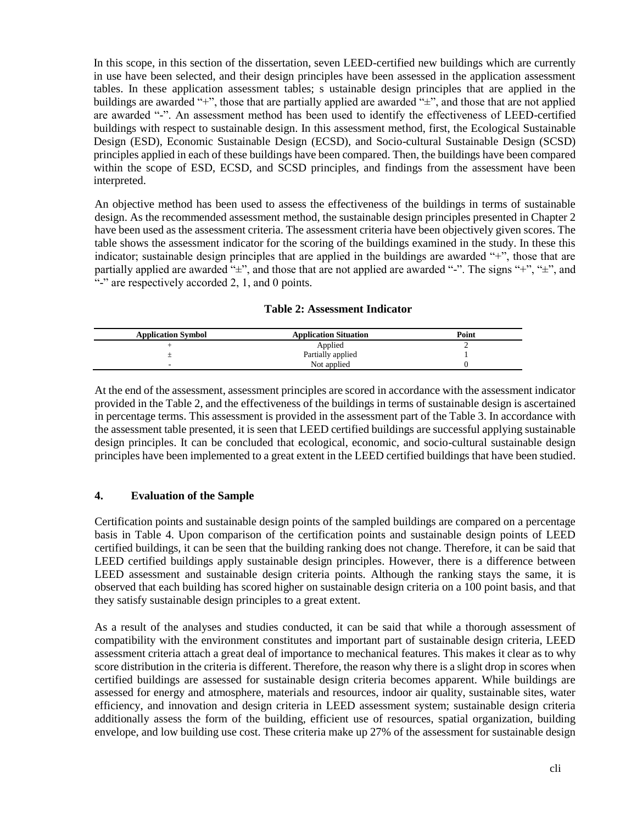In this scope, in this section of the dissertation, seven LEED-certified new buildings which are currently in use have been selected, and their design principles have been assessed in the application assessment tables. In these application assessment tables; s ustainable design principles that are applied in the buildings are awarded "+", those that are partially applied are awarded "±", and those that are not applied are awarded "-". An assessment method has been used to identify the effectiveness of LEED-certified buildings with respect to sustainable design. In this assessment method, first, the Ecological Sustainable Design (ESD), Economic Sustainable Design (ECSD), and Socio-cultural Sustainable Design (SCSD) principles applied in each of these buildings have been compared. Then, the buildings have been compared within the scope of ESD, ECSD, and SCSD principles, and findings from the assessment have been interpreted.

An objective method has been used to assess the effectiveness of the buildings in terms of sustainable design. As the recommended assessment method, the sustainable design principles presented in Chapter 2 have been used as the assessment criteria. The assessment criteria have been objectively given scores. The table shows the assessment indicator for the scoring of the buildings examined in the study. In these this indicator; sustainable design principles that are applied in the buildings are awarded "+", those that are partially applied are awarded " $\pm$ ", and those that are not applied are awarded "-". The signs "+", " $\pm$ ", and "-" are respectively accorded 2, 1, and 0 points.

| <b>Application Symbol</b> | <b>Application Situation</b> | Point |
|---------------------------|------------------------------|-------|
|                           | Applied                      |       |
|                           | Partially applied            |       |
|                           | Not applied                  |       |

At the end of the assessment, assessment principles are scored in accordance with the assessment indicator provided in the Table 2, and the effectiveness of the buildings in terms of sustainable design is ascertained in percentage terms. This assessment is provided in the assessment part of the Table 3. In accordance with the assessment table presented, it is seen that LEED certified buildings are successful applying sustainable design principles. It can be concluded that ecological, economic, and socio-cultural sustainable design principles have been implemented to a great extent in the LEED certified buildings that have been studied.

### **4. Evaluation of the Sample**

Certification points and sustainable design points of the sampled buildings are compared on a percentage basis in Table 4. Upon comparison of the certification points and sustainable design points of LEED certified buildings, it can be seen that the building ranking does not change. Therefore, it can be said that LEED certified buildings apply sustainable design principles. However, there is a difference between LEED assessment and sustainable design criteria points. Although the ranking stays the same, it is observed that each building has scored higher on sustainable design criteria on a 100 point basis, and that they satisfy sustainable design principles to a great extent.

As a result of the analyses and studies conducted, it can be said that while a thorough assessment of compatibility with the environment constitutes and important part of sustainable design criteria, LEED assessment criteria attach a great deal of importance to mechanical features. This makes it clear as to why score distribution in the criteria is different. Therefore, the reason why there is a slight drop in scores when certified buildings are assessed for sustainable design criteria becomes apparent. While buildings are assessed for energy and atmosphere, materials and resources, indoor air quality, sustainable sites, water efficiency, and innovation and design criteria in LEED assessment system; sustainable design criteria additionally assess the form of the building, efficient use of resources, spatial organization, building envelope, and low building use cost. These criteria make up 27% of the assessment for sustainable design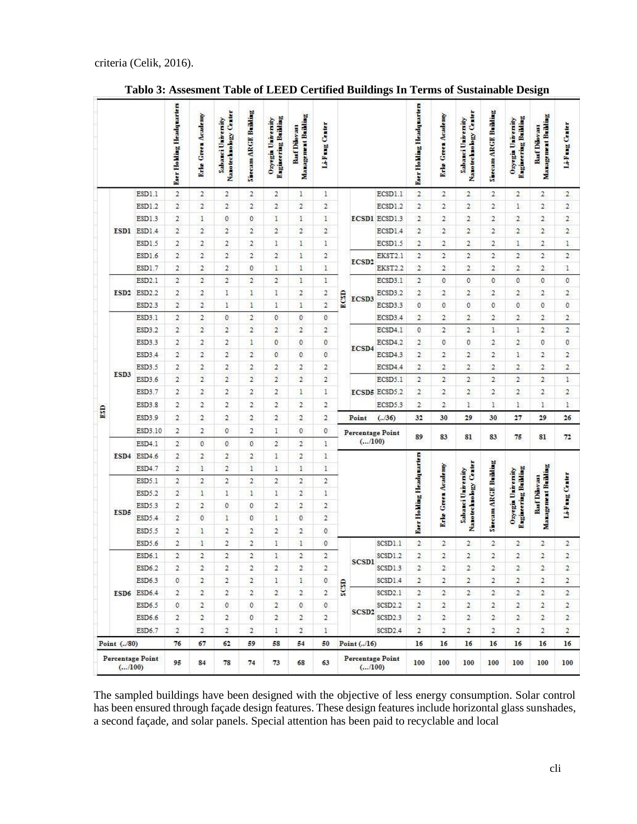|     |                    |                         | <b>Eser Holding Headquarters</b> | <b>Erle Green Academy</b>      | Nanotechnology Center<br>Sabanci University | Sinceam ARGE Building            | <b>Ragineering Building</b><br>Ozyegin University | Management Building<br>Basf Dilovası | Li-Fung Center      |            |                                   |                      | <b>Eser Holding Headquarters</b> | <b>Erle Green Academy</b>        | Nanotechnology Center<br>Sabanci University | Sisceam ARGE Building          | <b>Engineering Building</b><br>Ozyegia University | Management Building<br><b>Basf Dilovası</b> | Li-Fung Center |
|-----|--------------------|-------------------------|----------------------------------|--------------------------------|---------------------------------------------|----------------------------------|---------------------------------------------------|--------------------------------------|---------------------|------------|-----------------------------------|----------------------|----------------------------------|----------------------------------|---------------------------------------------|--------------------------------|---------------------------------------------------|---------------------------------------------|----------------|
|     |                    | ESD1.1                  | $\mathbf{2}$                     | $\overline{2}$                 | $\boldsymbol{2}$                            | $\overline{2}$                   | $\overline{2}$                                    | $\mathbf{1}$                         | 1                   |            |                                   | ECSD1.1              | $\overline{2}$                   | $\overline{2}$                   | $\overline{2}$                              | $\overline{2}$                 | $\overline{2}$                                    | $\overline{2}$                              | $\overline{2}$ |
|     |                    | ESD1.2                  | $\overline{2}$                   | $\overline{2}$                 | $\overline{2}$                              | $\overline{2}$                   | $\overline{2}$                                    | $\overline{2}$                       | $\overline{2}$      |            |                                   | ECSD1.2              | $\overline{2}$                   | $\overline{2}$                   | $\overline{2}$                              | $\overline{2}$                 | $\mathbf{1}$                                      | $\overline{2}$                              | $\overline{2}$ |
|     |                    | ESD1.3                  | $\overline{2}$                   | $\mathbf{1}$                   | $\mathbf 0$                                 | $\mathbf{0}$                     | $\mathbf{1}$                                      | $\mathbf{1}$                         | $\mathbf{1}$        |            |                                   | <b>ECSD1 ECSD1.3</b> | $\overline{2}$                   | $\overline{2}$                   | $\overline{2}$                              | $\overline{2}$                 | $\overline{2}$                                    | $\overline{2}$                              | $\overline{2}$ |
|     |                    | ESD1 ESD1.4             | $\overline{2}$                   | $\overline{2}$                 | $\overline{2}$                              | $\overline{2}$                   | $\overline{2}$                                    | $\overline{2}$                       | $\overline{2}$      |            |                                   | ECSD1.4              | $\overline{c}$                   | $\overline{2}$                   | $\overline{2}$                              | $\overline{2}$                 | $\overline{c}$                                    | $\overline{2}$                              | $\overline{2}$ |
|     |                    | ESD1.5                  | $\overline{2}$                   | $\overline{2}$                 | $\overline{2}$                              | $\overline{2}$                   | $\mathbf{1}$                                      | $\mathbf{1}$                         | 1                   |            |                                   | ECSD1.5              | $\overline{2}$                   | $\overline{2}$                   | $\overline{2}$                              | $\overline{2}$                 | 1                                                 | $\overline{2}$                              | 1              |
|     |                    | ESD1.6                  | $\overline{2}$                   | $\overline{2}$                 | $\overline{2}$                              | $\overline{2}$                   | $\overline{2}$                                    | $\mathbf{1}$                         | $\overline{2}$      |            |                                   | EKST2.1              | $\overline{c}$                   | $\overline{2}$                   | $\overline{c}$                              | $\overline{2}$                 | $\overline{2}$                                    | $\overline{c}$                              | $\overline{2}$ |
|     |                    | ESD1.7                  | $\sqrt{2}$                       | $\overline{c}$                 | $\overline{2}$                              | $\mathbf{0}$                     | $\mathbf{1}$                                      | $\mathbf{1}$                         | $\mathbf{1}$        |            | ECSD <sub>2</sub>                 | EKST2.2              | $\overline{2}$                   | $\overline{2}$                   | $\overline{2}$                              | $\overline{2}$                 | $\overline{2}$                                    | $\overline{2}$                              | 1              |
|     |                    | ESD <sub>2.1</sub>      | $\overline{2}$                   | $\overline{2}$                 | $\overline{2}$                              | $\overline{2}$                   | $\overline{2}$                                    | 1                                    | $\mathbf{1}$        |            |                                   | ECSD3.1              | $\overline{c}$                   | $\mathbf{0}$                     | $\mathbf{0}$                                | $\overline{0}$                 | $\mathbf{0}$                                      | $\mathbf{0}$                                | $\mathbf{0}$   |
|     | ESD <sub>2</sub>   | ESD <sub>2.2</sub>      | $\overline{2}$                   | $\boldsymbol{2}$               | $\mathbf{1}$                                | $\mathbf{1}$                     | 1                                                 | $\mathbf 2$                          | 2                   |            |                                   | ECSD3.2              | $\overline{2}$                   | $\overline{2}$                   | $\overline{2}$                              | 2                              | $\overline{2}$                                    | $\overline{2}$                              | $\overline{2}$ |
|     |                    | ESD <sub>2.3</sub>      | $\overline{\mathbf{2}}$          | $\overline{2}$                 | $\mathbf{1}$                                | $\mathbf{1}$                     | $\mathbf{1}$                                      | $\mathbf{1}$                         | $\overline{2}$      | ECSD       | ECSD3                             | ECSD3.3              | $\overline{0}$                   | $\mathbf 0$                      | $\mathbf{0}$                                | $\mathbf{0}$                   | $\overline{0}$                                    | $\mathbf{0}$                                | $\mathbf{0}$   |
|     |                    | ESD3.1                  | $\overline{2}$                   | $\overline{2}$                 | $\mathbf{0}$                                | $\overline{2}$                   | $\mathbf{0}$                                      | $\mathbf{0}$                         | $\mathbf{0}$        |            |                                   | ECSD3.4              | $\overline{2}$                   | $\overline{2}$                   | $\overline{2}$                              | $\overline{2}$                 | $\overline{2}$                                    | $\overline{2}$                              | $\overline{2}$ |
|     |                    | ESD3.2                  | $\overline{2}$                   | $\overline{2}$                 | $\overline{2}$                              | $\overline{2}$                   | $\overline{2}$                                    | $\overline{2}$                       | $\overline{2}$      |            |                                   | ECSD4.1              | $\mathbf{0}$                     | $\overline{2}$                   | $\overline{2}$                              | $\mathbf{1}$                   | $\mathbf{1}$                                      | $\overline{2}$                              | $\overline{2}$ |
|     |                    | ESD3.3                  | $\overline{2}$                   | $\overline{2}$                 | $\boldsymbol{2}$                            | $\mathbf{1}$                     | $\mathbf{0}$                                      | $\mathbf 0$                          | 0                   |            |                                   | ECSD4.2              | $\overline{2}$                   | $\mathbf{0}$                     | $\theta$                                    | $\overline{2}$                 | $\overline{2}$                                    | $\mathbf 0$                                 | $\bf 0$        |
|     |                    | ESD3.4                  | $\overline{2}$                   | $\overline{2}$                 | $\overline{2}$                              | $\overline{2}$                   | $\mathbf{0}$                                      | $\mathbf{0}$                         | $\mathbf{0}$        |            | ECSD4                             | ECSD4.3              | $\overline{2}$                   | $\overline{2}$                   | $\overline{2}$                              | $\overline{2}$                 | $\mathbf{1}$                                      | $\overline{2}$                              | $\overline{2}$ |
|     |                    | ESD3.5                  | $\overline{2}$                   | $\overline{2}$                 | $\sqrt{2}$                                  | $\overline{2}$                   | $\sqrt{2}$                                        | $\sqrt{2}$                           | $\overline{2}$      |            |                                   | ECSD4.4              | $\overline{2}$                   | $\overline{2}$                   | $\overline{2}$                              | $\overline{2}$                 | $\overline{2}$                                    | $\overline{2}$                              | $\overline{2}$ |
| ESD | ESD3               | ESD3.6                  | $\overline{2}$                   | $\overline{2}$                 | $\overline{2}$                              | $\overline{2}$                   | $\overline{2}$                                    | $\overline{2}$                       | $\overline{2}$      |            |                                   | ECSD5.1              | $\overline{2}$                   | $\overline{2}$                   | $\overline{2}$                              | $\overline{2}$                 | $\overline{c}$                                    | $\overline{2}$                              | $\mathbf{1}$   |
|     |                    | ESD3.7                  | $\mathbf{2}$                     | $\overline{2}$                 | $\overline{2}$                              | $\overline{2}$                   | $\boldsymbol{2}$                                  | $\mathbf{1}$                         | $\mathbf{1}$        |            |                                   | ECSD5 ECSD5.2        | $\overline{2}$                   | $\overline{2}$                   | $\overline{2}$                              | $\overline{2}$                 | $\overline{2}$                                    | $\overline{2}$                              | $\overline{2}$ |
|     |                    | ESD3.8                  | $\overline{2}$                   | $\overline{c}$                 | $\overline{c}$                              | $\overline{2}$                   | $\overline{2}$                                    | $\overline{2}$                       | $\overline{c}$      |            |                                   | ECSD5.3              | $\overline{2}$                   | $\overline{2}$                   | $\mathbf{1}$                                | $\mathbf{1}$                   | $\mathbf{1}$                                      | $\mathbf{1}$                                | $1\,$          |
|     |                    | ESD3.9                  | $\overline{2}$                   | $\overline{2}$                 | $\overline{2}$                              | $\overline{2}$                   | $\overline{2}$                                    | $\overline{2}$                       | $\overline{2}$      |            | Point                             | (.36)                | 32                               | 30                               | 29                                          | 30                             | 27                                                | 29                                          | 26             |
|     |                    | ESD3.10                 | $\overline{2}$                   | $\overline{2}$                 | $\mathbf{0}$                                | $\overline{2}$                   | 1                                                 | $\mathbf{0}$                         | 0                   |            |                                   |                      |                                  |                                  |                                             |                                |                                                   |                                             |                |
|     |                    | ESD4.1                  | $\overline{2}$                   | $\mathbf{0}$                   | $\mathbf{0}$                                | $\mathbf{0}$                     | $\overline{2}$                                    | $\overline{2}$                       | 1                   |            | <b>Percentage Point</b><br>(/100) |                      | 89                               | 83                               | 81                                          | 83                             | 75                                                | 81                                          | 72             |
|     | ESD4               | ESD4.6                  | $\overline{2}$                   | $\overline{2}$                 | $\overline{2}$                              | $\overline{2}$                   | $\mathbf{1}$                                      | $\overline{2}$                       | $\mathbf{1}$        |            |                                   |                      |                                  |                                  |                                             |                                |                                                   |                                             |                |
|     |                    | ESD4.7                  | $\overline{2}$                   | $\mathbf{1}$                   | $\overline{2}$                              | $\mathbf{1}$                     | $\mathbf{1}$                                      | $\mathbf{1}$                         | $\mathbf{1}$        |            |                                   |                      |                                  |                                  |                                             |                                |                                                   |                                             |                |
|     |                    | ESD5.1                  | $\mathbf{2}$                     | $\overline{2}$                 | $\overline{2}$                              | $\overline{2}$                   | $\overline{2}$                                    | $\overline{2}$                       | $\overline{2}$      |            |                                   |                      |                                  |                                  |                                             |                                |                                                   |                                             |                |
|     |                    | ESD5.2                  | $\overline{\mathbf{2}}$          | $\mathbf{1}$                   | $\mathbf{1}$                                | $\mathbf{1}$                     | $\mathbf{1}$                                      | $\overline{2}$                       | $\mathbf{1}$        |            |                                   |                      |                                  |                                  |                                             |                                |                                                   |                                             |                |
|     |                    |                         | $\overline{2}$                   | $\overline{2}$                 | $\mathbf{0}$                                | 0                                | $\overline{2}$                                    | $\overline{2}$                       | $\overline{2}$      |            |                                   |                      |                                  |                                  |                                             |                                |                                                   | <b>Basf Dilovası</b>                        |                |
|     | ESD5               | ESD5.3                  | $\overline{2}$                   | $\mathbf{0}$                   | $\mathbf{1}$                                | $\mathbf{0}$                     |                                                   | $\mathbf{0}$                         | $\overline{2}$      |            |                                   |                      |                                  | <b>Krlo Green Academy</b>        | Sabanci University                          |                                | <b>Engineering Building</b><br>Ozyegia University | Management Building                         | Li-Fung Center |
|     |                    | ESD5.4                  | $\overline{2}$                   |                                | $\overline{2}$                              | $\overline{2}$                   | $\mathbf{1}$<br>$\overline{2}$                    | $\overline{2}$                       | 0                   |            |                                   |                      | <b>Eser Holding Headquarters</b> |                                  | Nanotechnology Center                       | Siecam ARGE Building           |                                                   |                                             |                |
|     |                    | ESD5.5                  |                                  | $\mathbf{1}$                   |                                             |                                  |                                                   |                                      |                     |            |                                   |                      |                                  |                                  |                                             |                                |                                                   |                                             |                |
|     |                    | ESD5.6                  | $\overline{2}$<br>$\overline{2}$ | $\mathbf{1}$<br>$\overline{2}$ | $\overline{c}$<br>$\overline{2}$            | $\overline{2}$<br>$\overline{2}$ | $\,1$<br>$\mathbf{1}$                             | $\mathbf{I}$<br>$\overline{2}$       | 0<br>$\overline{a}$ |            |                                   | SCSD1.1              | $\overline{2}$<br>$\overline{2}$ | $\overline{2}$<br>$\overline{2}$ | $\overline{2}$<br>$\overline{2}$            | $\mathbf{2}$<br>$\overline{c}$ | $\overline{2}$<br>$\overline{2}$                  | $\mathbf{2}$<br>$\overline{2}$              | $\overline{2}$ |
|     |                    | ESD6.1                  |                                  |                                |                                             | $\overline{2}$                   |                                                   |                                      |                     |            | <b>SCSD1</b>                      | SCSD1.2              | $\overline{2}$                   |                                  |                                             |                                |                                                   |                                             | $\overline{c}$ |
|     |                    | ESD6.2                  | $\overline{\mathbf{2}}$          | $\mathbf{2}$                   | $\overline{c}$                              |                                  | $\overline{2}$                                    | $\mathbf{2}$                         | $\overline{2}$      | <b>CSD</b> |                                   | SCSD1.3              |                                  | $\overline{2}$                   | $\overline{2}$                              | $\overline{2}$                 | $\overline{2}$                                    | $\overline{2}$                              | $\overline{2}$ |
|     | <b>ESD6</b> ESD6.4 | ESD6.3                  | $\mathbf{0}$                     | $\overline{a}$                 | $\overline{2}$                              | $\overline{2}$                   | $\mathbf{1}$                                      | 1.                                   | 0                   |            |                                   | SCSD1.4              | $\overline{2}$                   | $\mathbf{2}$                     | $\mathbf{2}$                                | $\mathbf{2}$                   | $\mathbf{2}$                                      | $\mathbf{2}$                                | $\overline{2}$ |
|     |                    |                         | $\overline{2}$                   | $\overline{2}$                 | $\mathbf{2}$                                | $\overline{2}$                   | $\overline{2}$                                    | $\overline{2}$                       | $\mathbf{2}$        |            | SCSD <sub>2</sub>                 | SCSD2.1              | $\overline{2}$                   | $\overline{2}$                   | $\overline{2}$                              | $\mathbf{2}$                   | $\overline{2}$                                    | $\mathbf{2}$                                | $\overline{2}$ |
|     |                    | ESD6.5                  | $\mathbf{0}$                     | $\overline{2}$                 | $\mathbf{0}$                                | $\mathbf{0}$                     | $\overline{2}$                                    | $\mathbf{0}$                         | 0                   |            |                                   | SCSD <sub>2.2</sub>  | $\mathbf{2}$                     | $\overline{2}$                   | $\mathbf{2}$                                | $\overline{2}$                 | $\mathbf{2}$                                      | $\mathbf{2}$                                | $\mathbf{2}$   |
|     |                    | ESD6.6                  | $\overline{2}$                   | 2                              | $\overline{2}$                              | $\circ$                          | $\overline{2}$                                    | $\overline{2}$                       | $\overline{2}$      |            |                                   | SCSD <sub>2.3</sub>  | $\overline{2}$                   | $\overline{2}$                   | $\overline{2}$                              | $\overline{2}$                 | $\overline{2}$                                    | $\overline{2}$                              | $\overline{2}$ |
|     |                    | ESD6.7                  | $\overline{2}$                   | $\overline{2}$                 | $\tilde{c}$                                 | $\overline{2}$                   | $\mathbf{1}$                                      | $\overline{2}$                       | 1                   |            |                                   | SCSD2.4              | $\overline{2}$                   | $\overline{2}$                   | $\overline{2}$                              | $\overline{2}$                 | $\overline{2}$                                    | $\overline{2}$                              | $\overline{2}$ |
|     | Point (/80)        |                         | 76                               | 67                             | 62                                          | 59                               | 58                                                | 54                                   | 50                  |            | Point $(./16)$                    |                      | 16                               | 16                               | 16                                          | 16                             | 16                                                | 16                                          | 16             |
|     | (/100)             | <b>Percentage Point</b> | 95                               | 84                             | 78                                          | 74                               | 73                                                | 68                                   | 63                  |            | <b>Percentage Point</b><br>(/100) |                      | 100                              | 100                              | 100                                         | 100                            | 100                                               | 100                                         | 100            |

**Tablo 3: Assesment Table of LEED Certified Buildings In Terms of Sustainable Design**

The sampled buildings have been designed with the objective of less energy consumption. Solar control has been ensured through façade design features. These design features include horizontal glass sunshades, a second façade, and solar panels. Special attention has been paid to recyclable and local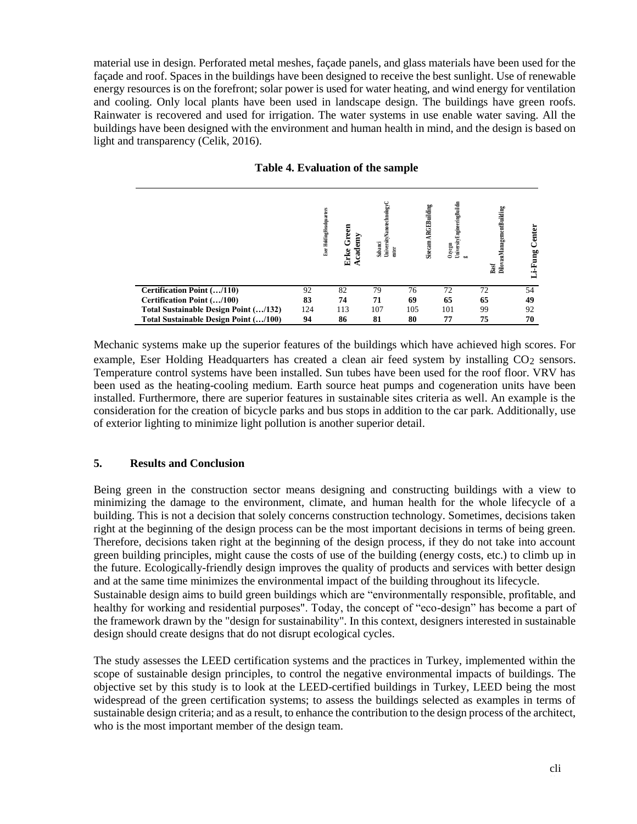material use in design. Perforated metal meshes, façade panels, and glass materials have been used for the façade and roof. Spaces in the buildings have been designed to receive the best sunlight. Use of renewable energy resources is on the forefront; solar power is used for water heating, and wind energy for ventilation and cooling. Only local plants have been used in landscape design. The buildings have green roofs. Rainwater is recovered and used for irrigation. The water systems in use enable water saving. All the buildings have been designed with the environment and human health in mind, and the design is based on light and transparency (Celik, 2016).

| Table 4. Evaluation of the sample |  |  |  |  |
|-----------------------------------|--|--|--|--|
|-----------------------------------|--|--|--|--|

|                                       |     | Eser HoldingHeadquarters | Б<br>ق<br>ت<br>Academy<br>Erke | UniversityNa note chnology C<br>Sabanci<br>enter |     | UniversityEngineeringBuildin<br>Sisecam ARGEBuilding<br>$0$ zyegm<br><b>b</b> o | DilovasıManagementBuilding<br>Basf | Center<br>Li-Fung |
|---------------------------------------|-----|--------------------------|--------------------------------|--------------------------------------------------|-----|---------------------------------------------------------------------------------|------------------------------------|-------------------|
| Certification Point (/110)            | 92  |                          | 82                             | 79                                               | 76  | 72                                                                              | 72                                 | 54                |
| Certification Point (/100)            | 83  |                          | 74                             | 71                                               | 69  | 65                                                                              | 65                                 | 49                |
| Total Sustainable Design Point (/132) | 124 |                          | 113                            | 107                                              | 105 | 101                                                                             | 99                                 | 92                |
| Total Sustainable Design Point (/100) | 94  |                          | 86                             | 81                                               | 80  | 77                                                                              | 75                                 | 70                |

Mechanic systems make up the superior features of the buildings which have achieved high scores. For example, Eser Holding Headquarters has created a clean air feed system by installing CO<sub>2</sub> sensors. Temperature control systems have been installed. Sun tubes have been used for the roof floor. VRV has been used as the heating-cooling medium. Earth source heat pumps and cogeneration units have been installed. Furthermore, there are superior features in sustainable sites criteria as well. An example is the consideration for the creation of bicycle parks and bus stops in addition to the car park. Additionally, use of exterior lighting to minimize light pollution is another superior detail.

### **5. Results and Conclusion**

Being green in the construction sector means designing and constructing buildings with a view to minimizing the damage to the environment, climate, and human health for the whole lifecycle of a building. This is not a decision that solely concerns construction technology. Sometimes, decisions taken right at the beginning of the design process can be the most important decisions in terms of being green. Therefore, decisions taken right at the beginning of the design process, if they do not take into account green building principles, might cause the costs of use of the building (energy costs, etc.) to climb up in the future. Ecologically-friendly design improves the quality of products and services with better design and at the same time minimizes the environmental impact of the building throughout its lifecycle. Sustainable design aims to build green buildings which are "environmentally responsible, profitable, and healthy for working and residential purposes". Today, the concept of "eco-design" has become a part of the framework drawn by the "design for sustainability". In this context, designers interested in sustainable design should create designs that do not disrupt ecological cycles.

The study assesses the LEED certification systems and the practices in Turkey, implemented within the scope of sustainable design principles, to control the negative environmental impacts of buildings. The objective set by this study is to look at the LEED-certified buildings in Turkey, LEED being the most widespread of the green certification systems; to assess the buildings selected as examples in terms of sustainable design criteria; and as a result, to enhance the contribution to the design process of the architect, who is the most important member of the design team.